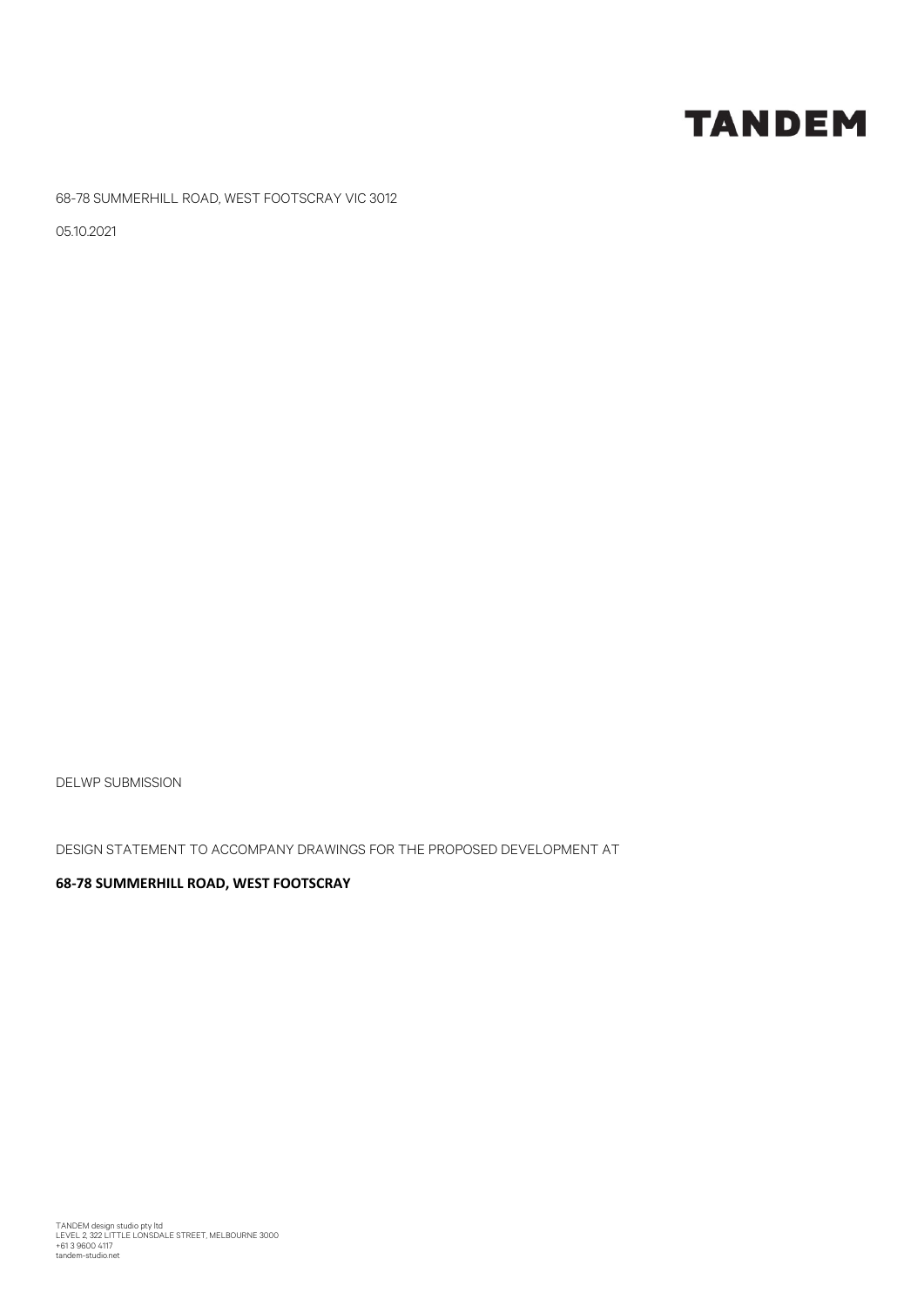## **TANDEM**

68-78 SUMMERHILL ROAD, WEST FOOTSCRAY VIC 3012

05.10.2021

DELWP SUBMISSION

DESIGN STATEMENT TO ACCOMPANY DRAWINGS FOR THE PROPOSED DEVELOPMENT AT

## **68‐78 SUMMERHILL ROAD, WEST FOOTSCRAY**